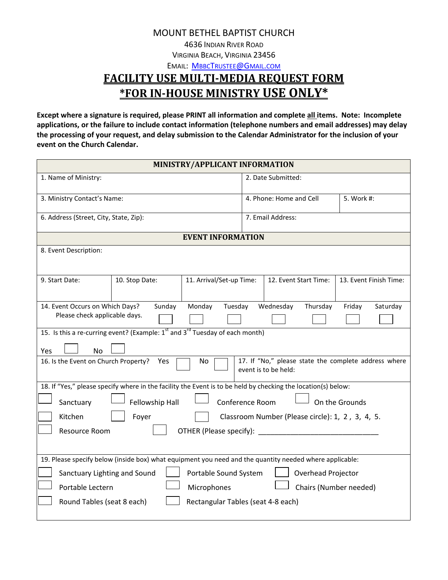MOUNT BETHEL BAPTIST CHURCH

4636 INDIAN RIVER ROAD

VIRGINIA BEACH, VIRGINIA 23456

EMAIL: **MBBCTRUSTEE@GMAIL.COM** 

## **FACILITY USE MULTI-MEDIA REQUEST FORM \*FOR IN-HOUSE MINISTRY USE ONLY\***

**Except where a signature is required, please PRINT all information and complete all items. Note: Incomplete applications, or the failure to include contact information (telephone numbers and email addresses) may delay the processing of your request, and delay submission to the Calendar Administrator for the inclusion of your event on the Church Calendar.**

| MINISTRY/APPLICANT INFORMATION                                                                                                    |                                                 |  |  |
|-----------------------------------------------------------------------------------------------------------------------------------|-------------------------------------------------|--|--|
| 1. Name of Ministry:                                                                                                              | 2. Date Submitted:                              |  |  |
| 3. Ministry Contact's Name:                                                                                                       | 4. Phone: Home and Cell<br>5. Work #:           |  |  |
| 6. Address (Street, City, State, Zip):                                                                                            | 7. Email Address:                               |  |  |
| <b>EVENT INFORMATION</b>                                                                                                          |                                                 |  |  |
| 8. Event Description:                                                                                                             |                                                 |  |  |
| 11. Arrival/Set-up Time:<br>9. Start Date:<br>10. Stop Date:                                                                      | 12. Event Start Time:<br>13. Event Finish Time: |  |  |
| 14. Event Occurs on Which Days?<br>Monday<br>Tuesday<br>Sunday                                                                    | Wednesday<br>Thursday<br>Friday<br>Saturday     |  |  |
| Please check applicable days.                                                                                                     |                                                 |  |  |
| 15. Is this a re-curring event? (Example: 1 <sup>st</sup> and 3 <sup>rd</sup> Tuesday of each month)                              |                                                 |  |  |
| <b>No</b><br>Yes                                                                                                                  |                                                 |  |  |
| 17. If "No," please state the complete address where<br>16. Is the Event on Church Property?<br>No<br>Yes<br>event is to be held: |                                                 |  |  |
| 18. If "Yes," please specify where in the facility the Event is to be held by checking the location(s) below:                     |                                                 |  |  |
| Fellowship Hall<br>Conference Room<br>On the Grounds<br>Sanctuary                                                                 |                                                 |  |  |
| Kitchen<br>Classroom Number (Please circle): 1, 2, 3, 4, 5.<br>Foyer                                                              |                                                 |  |  |
| Resource Room<br>OTHER (Please specify):                                                                                          |                                                 |  |  |
|                                                                                                                                   |                                                 |  |  |
| 19. Please specify below (inside box) what equipment you need and the quantity needed where applicable:                           |                                                 |  |  |
| Sanctuary Lighting and Sound<br>Portable Sound System<br>Overhead Projector                                                       |                                                 |  |  |
| Portable Lectern<br>Microphones                                                                                                   | Chairs (Number needed)                          |  |  |
| Round Tables (seat 8 each)<br>Rectangular Tables (seat 4-8 each)                                                                  |                                                 |  |  |